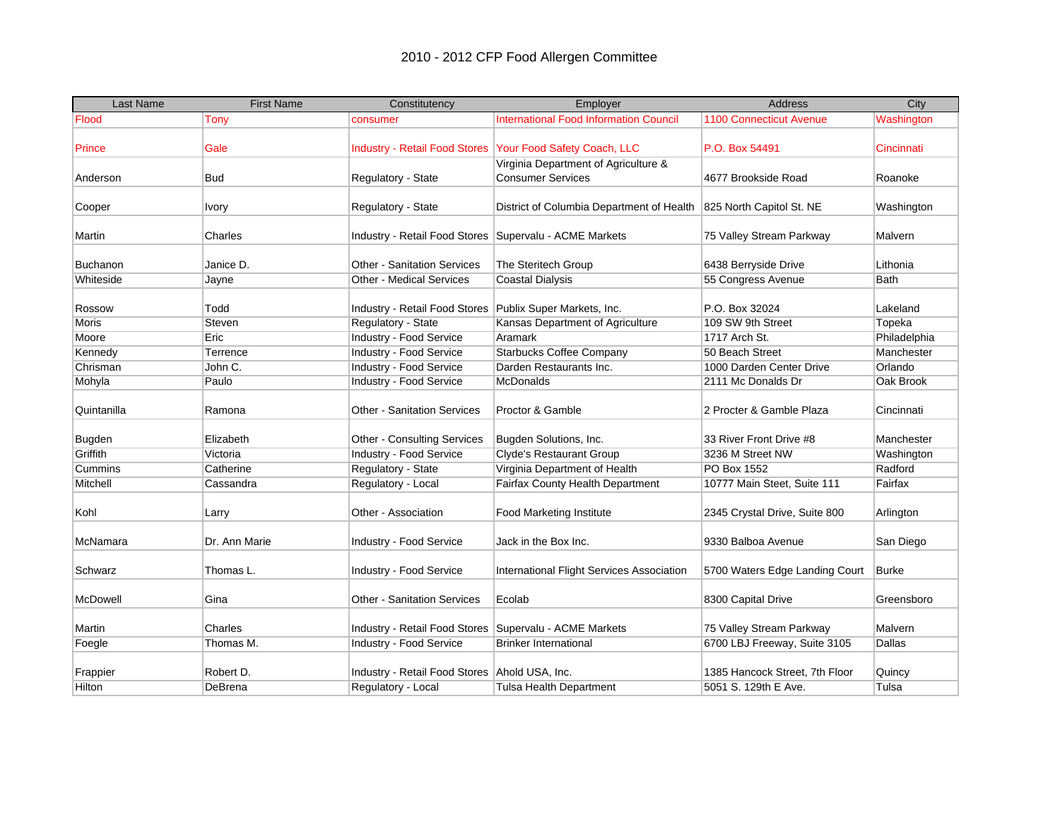| <b>Last Name</b> | <b>First Name</b> | Constitutency                                              | Employer                                                             | Address                        | City         |
|------------------|-------------------|------------------------------------------------------------|----------------------------------------------------------------------|--------------------------------|--------------|
| Flood            | Tony              | consumer                                                   | <b>International Food Information Council</b>                        | <b>1100 Connecticut Avenue</b> | Washington   |
|                  |                   |                                                            |                                                                      |                                |              |
| <b>Prince</b>    | Gale              |                                                            | Industry - Retail Food Stores   Your Food Safety Coach, LLC          | P.O. Box 54491                 | Cincinnati   |
|                  |                   |                                                            | Virginia Department of Agriculture &                                 |                                |              |
| Anderson         | <b>Bud</b>        | Regulatory - State                                         | <b>Consumer Services</b>                                             | 4677 Brookside Road            | Roanoke      |
|                  |                   |                                                            |                                                                      |                                |              |
| Cooper           | Ivory             | Regulatory - State                                         | District of Columbia Department of Health   825 North Capitol St. NE |                                | Washington   |
|                  |                   |                                                            |                                                                      |                                |              |
| Martin           | Charles           | Industry - Retail Food Stores   Supervalu - ACME Markets   |                                                                      | 75 Valley Stream Parkway       | Malvern      |
|                  |                   |                                                            |                                                                      |                                |              |
| <b>Buchanon</b>  | Janice D.         | <b>Other - Sanitation Services</b>                         | The Steritech Group                                                  | 6438 Berryside Drive           | Lithonia     |
| Whiteside        | Jayne             | Other - Medical Services                                   | <b>Coastal Dialysis</b>                                              | 55 Congress Avenue             | Bath         |
|                  |                   |                                                            |                                                                      |                                |              |
| Rossow           | Todd              | Industry - Retail Food Stores   Publix Super Markets, Inc. |                                                                      | P.O. Box 32024                 | Lakeland     |
| <b>Moris</b>     | Steven            | Regulatory - State                                         | Kansas Department of Agriculture                                     | 109 SW 9th Street              | Topeka       |
| Moore            | Eric              | Industry - Food Service                                    | Aramark                                                              | 1717 Arch St.                  | Philadelphia |
| Kennedy          | Terrence          | Industry - Food Service                                    | <b>Starbucks Coffee Company</b>                                      | 50 Beach Street                | Manchester   |
| Chrisman         | John C.           | Industry - Food Service                                    | Darden Restaurants Inc.                                              | 1000 Darden Center Drive       | Orlando      |
| Mohyla           | Paulo             | Industry - Food Service                                    | <b>McDonalds</b>                                                     | 2111 Mc Donalds Dr             | Oak Brook    |
|                  |                   |                                                            |                                                                      |                                |              |
| Quintanilla      | Ramona            | Other - Sanitation Services                                | Proctor & Gamble                                                     | 2 Procter & Gamble Plaza       | Cincinnati   |
| <b>Bugden</b>    | Elizabeth         | <b>Other - Consulting Services</b>                         | Bugden Solutions, Inc.                                               | 33 River Front Drive #8        | Manchester   |
| Griffith         | Victoria          | Industry - Food Service                                    | Clyde's Restaurant Group                                             | 3236 M Street NW               | Washington   |
| Cummins          | Catherine         | Regulatory - State                                         | Virginia Department of Health                                        | PO Box 1552                    | Radford      |
| Mitchell         | Cassandra         | Regulatory - Local                                         | Fairfax County Health Department                                     | 10777 Main Steet, Suite 111    | Fairfax      |
|                  |                   |                                                            |                                                                      |                                |              |
| Kohl             | Larry             | Other - Association                                        | <b>Food Marketing Institute</b>                                      | 2345 Crystal Drive, Suite 800  | Arlington    |
|                  |                   |                                                            |                                                                      |                                |              |
| McNamara         | Dr. Ann Marie     | Industry - Food Service                                    | Jack in the Box Inc.                                                 | 9330 Balboa Avenue             | San Diego    |
|                  |                   |                                                            |                                                                      |                                |              |
| Schwarz          | Thomas L.         | Industry - Food Service                                    | International Flight Services Association                            | 5700 Waters Edge Landing Court | <b>Burke</b> |
| McDowell         | Gina              | <b>Other - Sanitation Services</b>                         | Ecolab                                                               | 8300 Capital Drive             | Greensboro   |
|                  |                   |                                                            |                                                                      |                                |              |
| Martin           | Charles           | Industry - Retail Food Stores Supervalu - ACME Markets     |                                                                      | 75 Valley Stream Parkway       | Malvern      |
| Foegle           | Thomas M.         | Industry - Food Service                                    | <b>Brinker International</b>                                         | 6700 LBJ Freeway, Suite 3105   | Dallas       |
|                  |                   |                                                            |                                                                      |                                |              |
| Frappier         | Robert D.         | Industry - Retail Food Stores Ahold USA, Inc.              |                                                                      | 1385 Hancock Street, 7th Floor | Quincy       |
| Hilton           | DeBrena           | Regulatory - Local                                         | Tulsa Health Department                                              | 5051 S. 129th E Ave.           | Tulsa        |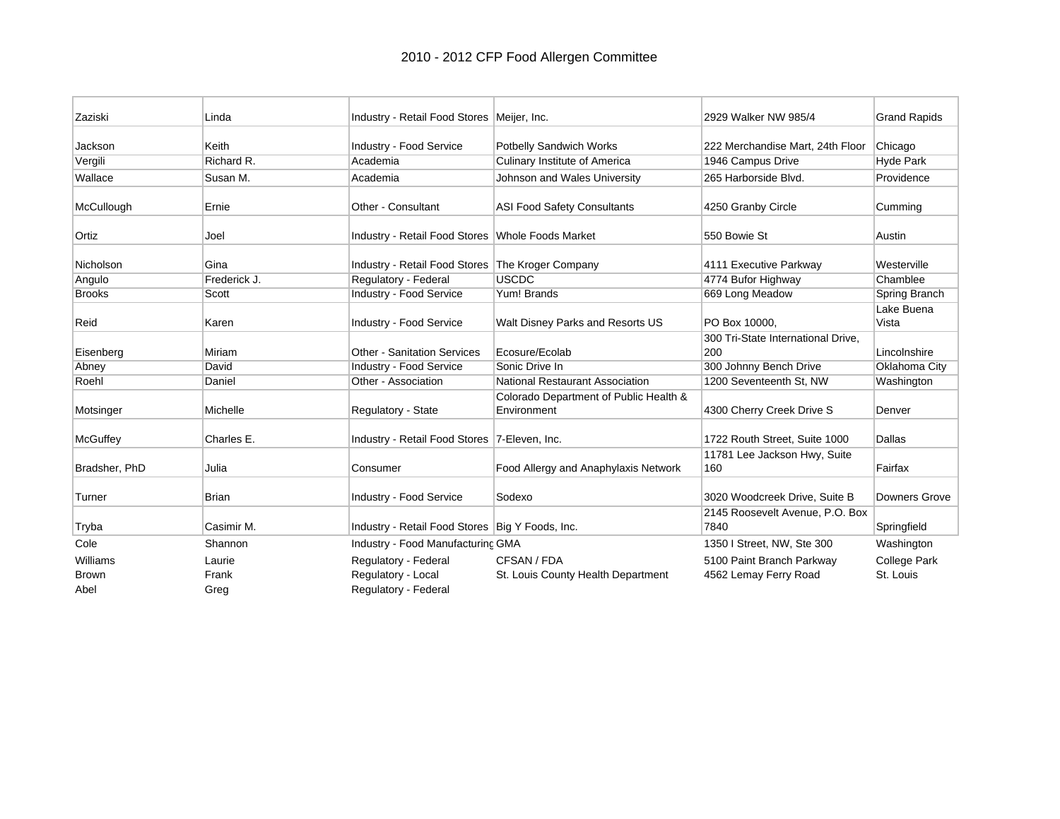| Zaziski       | Linda        | Industry - Retail Food Stores   Meijer, Inc.      |                                                       | 2929 Walker NW 985/4                | <b>Grand Rapids</b> |
|---------------|--------------|---------------------------------------------------|-------------------------------------------------------|-------------------------------------|---------------------|
| Jackson       | Keith        | Industry - Food Service                           | <b>Potbelly Sandwich Works</b>                        | 222 Merchandise Mart, 24th Floor    | Chicago             |
| Vergili       | Richard R.   | Academia                                          | <b>Culinary Institute of America</b>                  | 1946 Campus Drive                   | <b>Hyde Park</b>    |
| Wallace       | Susan M.     | Academia                                          | Johnson and Wales University                          | 265 Harborside Blvd.                | Providence          |
| McCullough    | Ernie        | Other - Consultant                                | <b>ASI Food Safety Consultants</b>                    | 4250 Granby Circle                  | Cumming             |
| Ortiz         | Joel         | Industry - Retail Food Stores Whole Foods Market  |                                                       | 550 Bowie St                        | Austin              |
| Nicholson     | Gina         | Industry - Retail Food Stores The Kroger Company  |                                                       | 4111 Executive Parkway              | Westerville         |
| Angulo        | Frederick J. | Regulatory - Federal                              | <b>USCDC</b>                                          | 4774 Bufor Highway                  | Chamblee            |
| <b>Brooks</b> | Scott        | Industry - Food Service                           | Yum! Brands                                           | 669 Long Meadow                     | Spring Branch       |
| Reid          | Karen        | Industry - Food Service                           | Walt Disney Parks and Resorts US                      | PO Box 10000,                       | Lake Buena<br>Vista |
|               |              |                                                   |                                                       | 300 Tri-State International Drive,  |                     |
| Eisenberg     | Miriam       | <b>Other - Sanitation Services</b>                | Ecosure/Ecolab                                        | 200                                 | Lincolnshire        |
| Abney         | David        | Industry - Food Service                           | Sonic Drive In                                        | 300 Johnny Bench Drive              | Oklahoma City       |
| Roehl         | Daniel       | Other - Association                               | National Restaurant Association                       | 1200 Seventeenth St. NW             | Washington          |
| Motsinger     | Michelle     | Regulatory - State                                | Colorado Department of Public Health &<br>Environment | 4300 Cherry Creek Drive S           | Denver              |
| McGuffey      | Charles E.   | Industry - Retail Food Stores   7-Eleven, Inc.    |                                                       | 1722 Routh Street, Suite 1000       | Dallas              |
| Bradsher, PhD | Julia        | Consumer                                          | Food Allergy and Anaphylaxis Network                  | 11781 Lee Jackson Hwy, Suite<br>160 | Fairfax             |
| Turner        | <b>Brian</b> | Industry - Food Service                           | Sodexo                                                | 3020 Woodcreek Drive, Suite B       | Downers Grove       |
|               |              |                                                   |                                                       | 2145 Roosevelt Avenue, P.O. Box     |                     |
| Tryba         | Casimir M.   | Industry - Retail Food Stores   Big Y Foods, Inc. |                                                       | 7840                                | Springfield         |
| Cole          | Shannon      | Industry - Food Manufacturing GMA                 |                                                       | 1350 I Street, NW, Ste 300          | Washington          |
| Williams      | Laurie       | Regulatory - Federal                              | CFSAN / FDA                                           | 5100 Paint Branch Parkway           | College Park        |
| <b>Brown</b>  | Frank        | Regulatory - Local                                | St. Louis County Health Department                    | 4562 Lemay Ferry Road               | St. Louis           |
| Abel          | Greg         | Regulatory - Federal                              |                                                       |                                     |                     |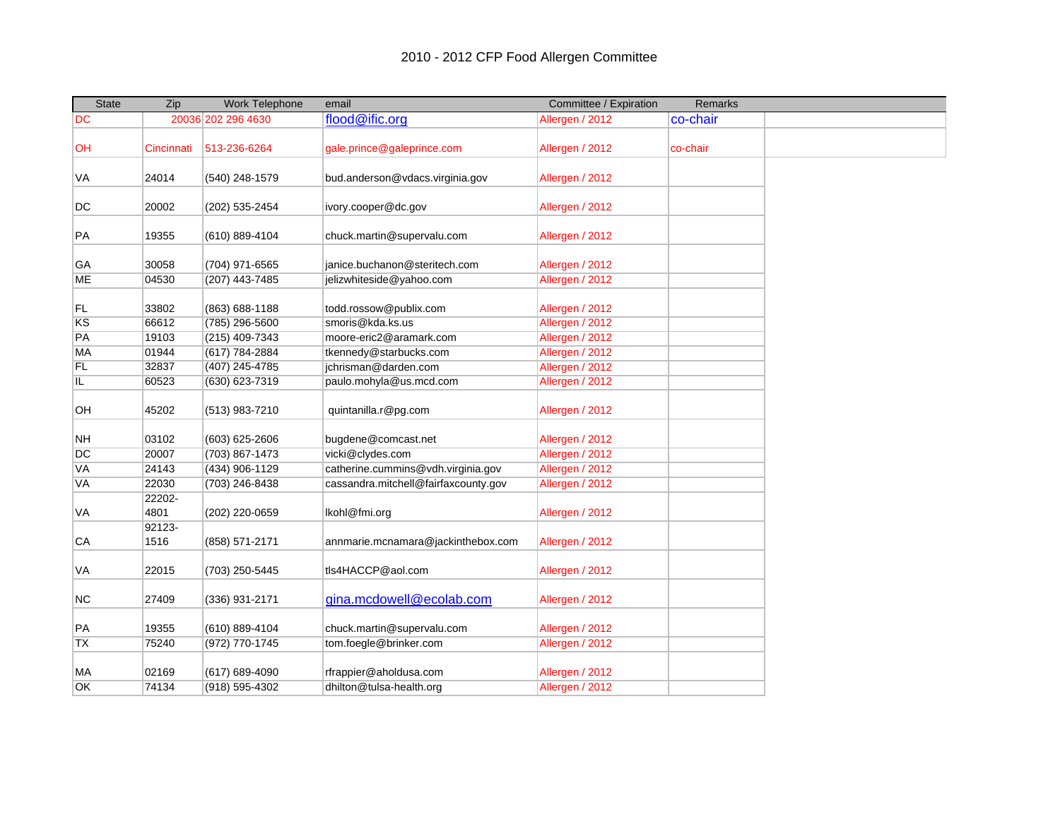| <b>State</b>    | Zip            | Work Telephone                   | email                                           | Committee / Expiration             | <b>Remarks</b> |  |
|-----------------|----------------|----------------------------------|-------------------------------------------------|------------------------------------|----------------|--|
| DC              |                | 20036 202 296 4630               | flood@ific.org                                  | Allergen / 2012                    | co-chair       |  |
| OH              | Cincinnati     | 513-236-6264                     | gale.prince@galeprince.com                      | Allergen / 2012                    | co-chair       |  |
| VA              | 24014          | (540) 248-1579                   | bud.anderson@vdacs.virginia.gov                 | Allergen / 2012                    |                |  |
| DC              | 20002          | (202) 535-2454                   | ivory.cooper@dc.gov                             | Allergen / 2012                    |                |  |
| PA              | 19355          | (610) 889-4104                   | chuck.martin@supervalu.com                      | Allergen / 2012                    |                |  |
| GA              | 30058          | (704) 971-6565                   | janice.buchanon@steritech.com                   | Allergen / 2012                    |                |  |
| <b>ME</b>       | 04530          | (207) 443-7485                   | jelizwhiteside@yahoo.com                        | Allergen / 2012                    |                |  |
| FL              | 33802          | (863) 688-1188                   | todd.rossow@publix.com                          | Allergen / 2012                    |                |  |
| KS              | 66612          | (785) 296-5600                   | smoris@kda.ks.us                                | Allergen / 2012                    |                |  |
| PA              | 19103          | (215) 409-7343                   | moore-eric2@aramark.com                         | Allergen / 2012                    |                |  |
| MA              | 01944          | (617) 784-2884                   | tkennedy@starbucks.com                          | Allergen / 2012                    |                |  |
| <b>FL</b><br>IL | 32837<br>60523 | (407) 245-4785<br>(630) 623-7319 | jchrisman@darden.com<br>paulo.mohyla@us.mcd.com | Allergen / 2012<br>Allergen / 2012 |                |  |
|                 |                |                                  |                                                 |                                    |                |  |
| <b>OH</b>       | 45202          | (513) 983-7210                   | quintanilla.r@pg.com                            | Allergen / 2012                    |                |  |
| <b>NH</b>       | 03102          | (603) 625-2606                   | bugdene@comcast.net                             | Allergen / 2012                    |                |  |
| DC              | 20007          | (703) 867-1473                   | vicki@clydes.com                                | Allergen / 2012                    |                |  |
| VA              | 24143          | (434) 906-1129                   | catherine.cummins@vdh.virginia.gov              | Allergen / 2012                    |                |  |
| <b>VA</b>       | 22030          | (703) 246-8438                   | cassandra.mitchell@fairfaxcounty.gov            | Allergen / 2012                    |                |  |
| VA              | 22202-<br>4801 | (202) 220-0659                   | lkohl@fmi.org                                   | Allergen / 2012                    |                |  |
| CA              | 92123-<br>1516 | (858) 571-2171                   | annmarie.mcnamara@jackinthebox.com              | Allergen / 2012                    |                |  |
| VA              | 22015          | (703) 250-5445                   | tls4HACCP@aol.com                               | Allergen / 2012                    |                |  |
| NC              | 27409          | (336) 931-2171                   | gina.mcdowell@ecolab.com                        | Allergen / 2012                    |                |  |
| PA              | 19355          | (610) 889-4104                   | chuck.martin@supervalu.com                      | Allergen / 2012                    |                |  |
| <b>TX</b>       | 75240          | (972) 770-1745                   | tom.foegle@brinker.com                          | Allergen / 2012                    |                |  |
| MA              | 02169          | (617) 689-4090                   | rfrappier@aholdusa.com                          | Allergen / 2012                    |                |  |
| OK              | 74134          | (918) 595-4302                   | dhilton@tulsa-health.org                        | Allergen / 2012                    |                |  |